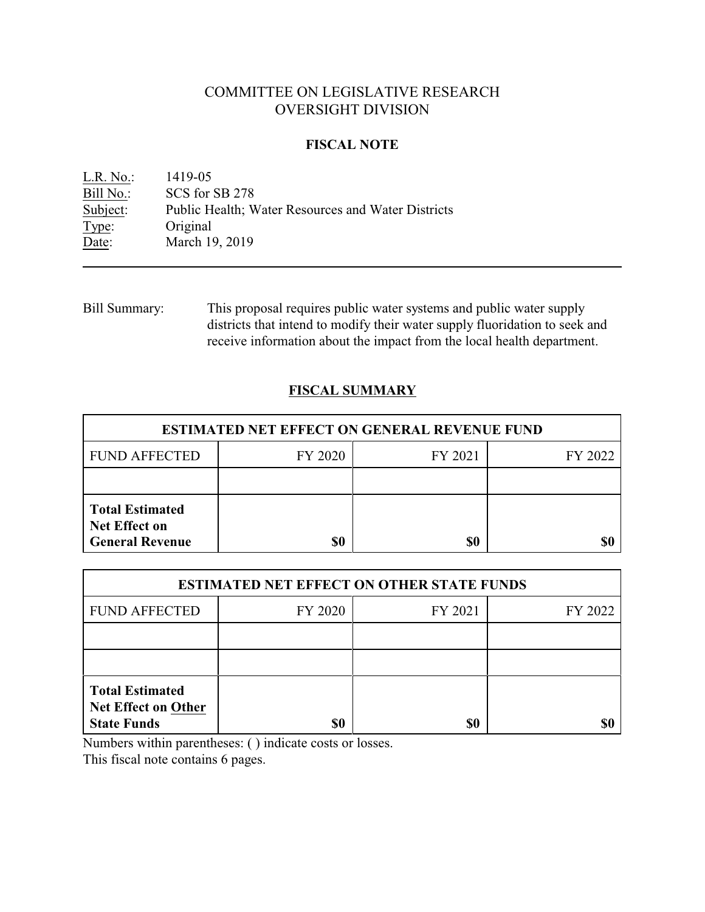# COMMITTEE ON LEGISLATIVE RESEARCH OVERSIGHT DIVISION

### **FISCAL NOTE**

<u>L.R. No.:</u> 1419-05<br>Bill No.: SCS for SCS for SB 278 Subject: Public Health; Water Resources and Water Districts Type: Original Date: March 19, 2019

Bill Summary: This proposal requires public water systems and public water supply districts that intend to modify their water supply fluoridation to seek and receive information about the impact from the local health department.

## **FISCAL SUMMARY**

| <b>ESTIMATED NET EFFECT ON GENERAL REVENUE FUND</b>                      |         |         |         |  |
|--------------------------------------------------------------------------|---------|---------|---------|--|
| <b>FUND AFFECTED</b>                                                     | FY 2020 | FY 2021 | FY 2022 |  |
|                                                                          |         |         |         |  |
| <b>Total Estimated</b><br><b>Net Effect on</b><br><b>General Revenue</b> | S0      | \$0     |         |  |

| <b>ESTIMATED NET EFFECT ON OTHER STATE FUNDS</b>                           |         |         |         |  |
|----------------------------------------------------------------------------|---------|---------|---------|--|
| <b>FUND AFFECTED</b>                                                       | FY 2020 | FY 2021 | FY 2022 |  |
|                                                                            |         |         |         |  |
|                                                                            |         |         |         |  |
| <b>Total Estimated</b><br><b>Net Effect on Other</b><br><b>State Funds</b> | \$0     | \$0     |         |  |

Numbers within parentheses: ( ) indicate costs or losses.

This fiscal note contains 6 pages.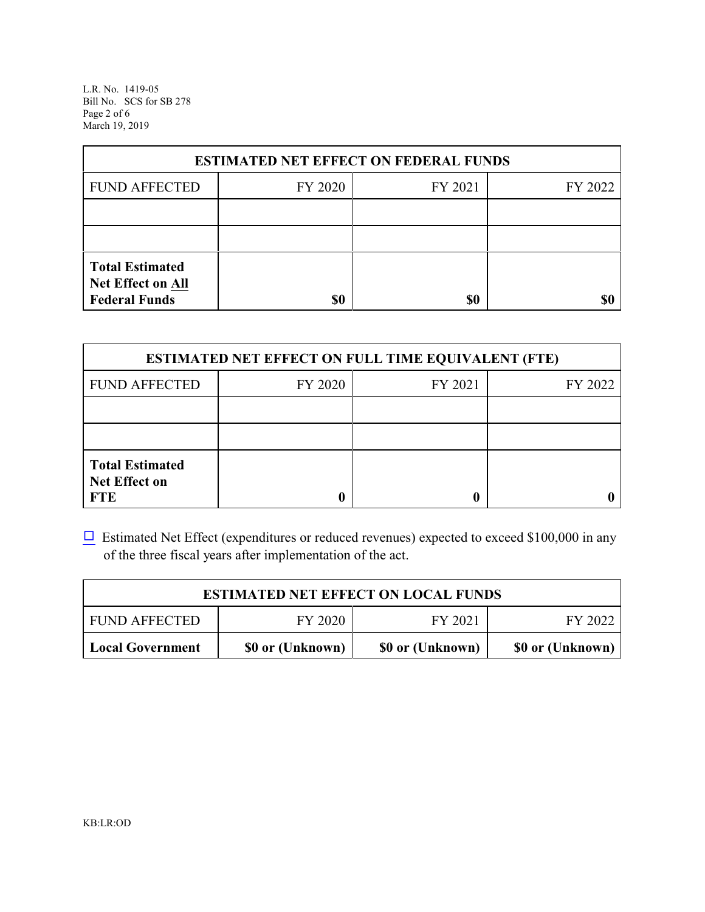L.R. No. 1419-05 Bill No. SCS for SB 278 Page 2 of 6 March 19, 2019

| <b>ESTIMATED NET EFFECT ON FEDERAL FUNDS</b>                        |         |         |         |  |  |
|---------------------------------------------------------------------|---------|---------|---------|--|--|
| <b>FUND AFFECTED</b>                                                | FY 2020 | FY 2021 | FY 2022 |  |  |
|                                                                     |         |         |         |  |  |
|                                                                     |         |         |         |  |  |
| <b>Total Estimated</b><br>Net Effect on All<br><b>Federal Funds</b> | \$0     | \$0     |         |  |  |

| <b>ESTIMATED NET EFFECT ON FULL TIME EQUIVALENT (FTE)</b>    |         |         |         |  |
|--------------------------------------------------------------|---------|---------|---------|--|
| <b>FUND AFFECTED</b>                                         | FY 2020 | FY 2021 | FY 2022 |  |
|                                                              |         |         |         |  |
|                                                              |         |         |         |  |
| <b>Total Estimated</b><br><b>Net Effect on</b><br><b>FTE</b> |         |         |         |  |

 $\Box$  Estimated Net Effect (expenditures or reduced revenues) expected to exceed \$100,000 in any of the three fiscal years after implementation of the act.

| <b>ESTIMATED NET EFFECT ON LOCAL FUNDS</b> |                  |                  |                  |  |
|--------------------------------------------|------------------|------------------|------------------|--|
| <b>FUND AFFECTED</b>                       | FY 2020          | FY 2021          | FY 2022          |  |
| <b>Local Government</b>                    | \$0 or (Unknown) | \$0 or (Unknown) | \$0 or (Unknown) |  |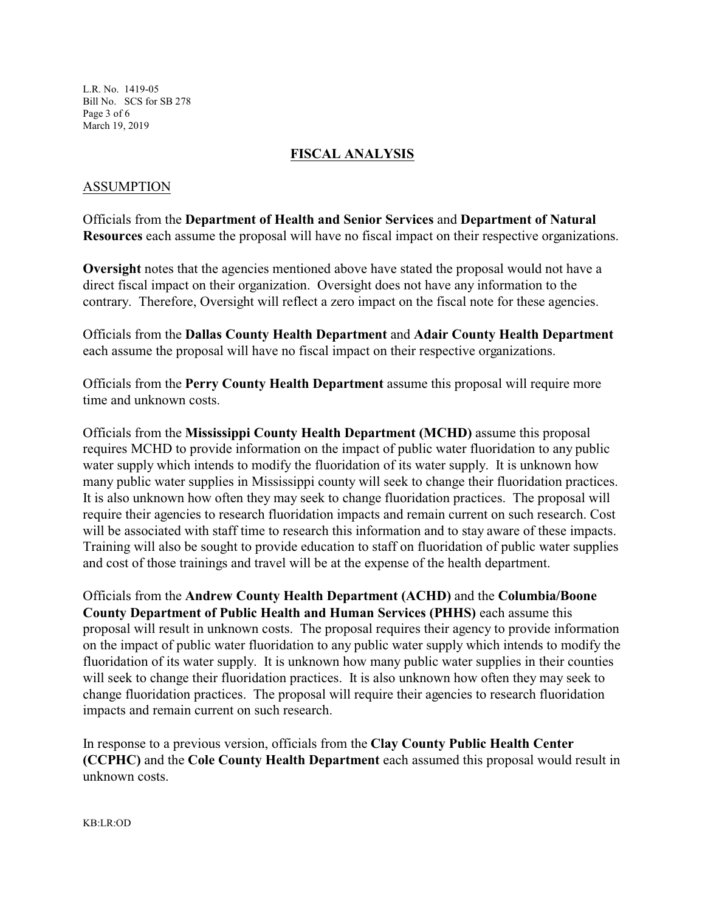L.R. No. 1419-05 Bill No. SCS for SB 278 Page 3 of 6 March 19, 2019

### **FISCAL ANALYSIS**

### ASSUMPTION

Officials from the **Department of Health and Senior Services** and **Department of Natural Resources** each assume the proposal will have no fiscal impact on their respective organizations.

**Oversight** notes that the agencies mentioned above have stated the proposal would not have a direct fiscal impact on their organization. Oversight does not have any information to the contrary. Therefore, Oversight will reflect a zero impact on the fiscal note for these agencies.

Officials from the **Dallas County Health Department** and **Adair County Health Department** each assume the proposal will have no fiscal impact on their respective organizations.

Officials from the **Perry County Health Department** assume this proposal will require more time and unknown costs.

Officials from the **Mississippi County Health Department (MCHD)** assume this proposal requires MCHD to provide information on the impact of public water fluoridation to any public water supply which intends to modify the fluoridation of its water supply. It is unknown how many public water supplies in Mississippi county will seek to change their fluoridation practices. It is also unknown how often they may seek to change fluoridation practices. The proposal will require their agencies to research fluoridation impacts and remain current on such research. Cost will be associated with staff time to research this information and to stay aware of these impacts. Training will also be sought to provide education to staff on fluoridation of public water supplies and cost of those trainings and travel will be at the expense of the health department.

Officials from the **Andrew County Health Department (ACHD)** and the **Columbia/Boone County Department of Public Health and Human Services (PHHS)** each assume this proposal will result in unknown costs. The proposal requires their agency to provide information on the impact of public water fluoridation to any public water supply which intends to modify the fluoridation of its water supply. It is unknown how many public water supplies in their counties will seek to change their fluoridation practices. It is also unknown how often they may seek to change fluoridation practices. The proposal will require their agencies to research fluoridation impacts and remain current on such research.

In response to a previous version, officials from the **Clay County Public Health Center (CCPHC)** and the **Cole County Health Department** each assumed this proposal would result in unknown costs.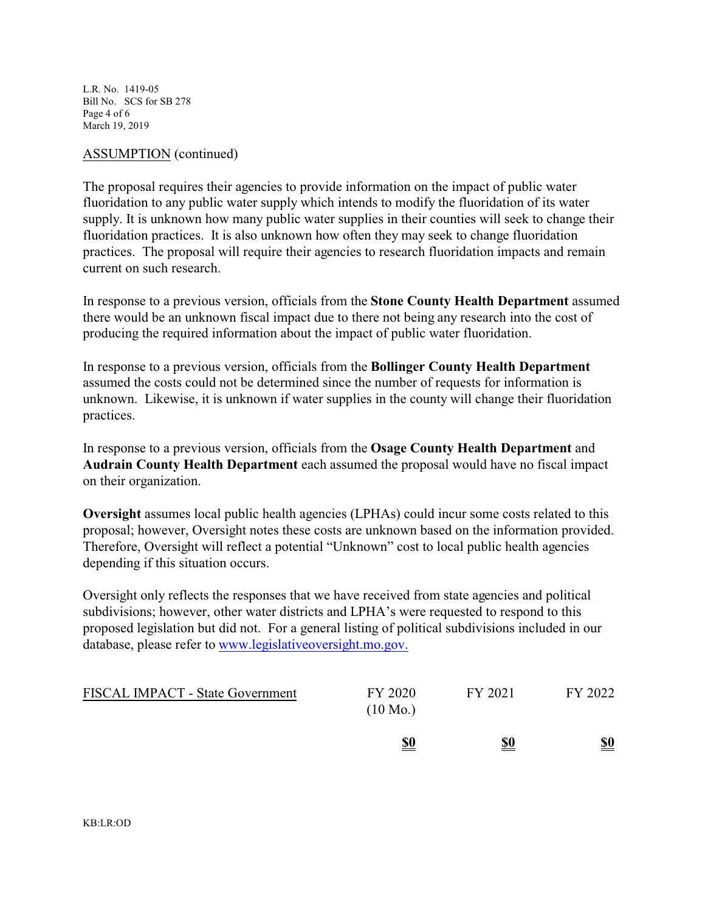L.R. No. 1419-05 Bill No. SCS for SB 278 Page 4 of 6 March 19, 2019

#### ASSUMPTION (continued)

The proposal requires their agencies to provide information on the impact of public water fluoridation to any public water supply which intends to modify the fluoridation of its water supply. It is unknown how many public water supplies in their counties will seek to change their fluoridation practices. It is also unknown how often they may seek to change fluoridation practices. The proposal will require their agencies to research fluoridation impacts and remain current on such research.

In response to a previous version, officials from the **Stone County Health Department** assumed there would be an unknown fiscal impact due to there not being any research into the cost of producing the required information about the impact of public water fluoridation.

In response to a previous version, officials from the **Bollinger County Health Department** assumed the costs could not be determined since the number of requests for information is unknown. Likewise, it is unknown if water supplies in the county will change their fluoridation practices.

In response to a previous version, officials from the **Osage County Health Department** and **Audrain County Health Department** each assumed the proposal would have no fiscal impact on their organization.

**Oversight** assumes local public health agencies (LPHAs) could incur some costs related to this proposal; however, Oversight notes these costs are unknown based on the information provided. Therefore, Oversight will reflect a potential "Unknown" cost to local public health agencies depending if this situation occurs.

Oversight only reflects the responses that we have received from state agencies and political subdivisions; however, other water districts and LPHA's were requested to respond to this proposed legislation but did not. For a general listing of political subdivisions included in our database, please refer to [www.legislativeoversight.mo.gov.](http://www.legislativeoversight.mo.gov.)

| <b>FISCAL IMPACT - State Government</b> | FY 2020<br>$(10 \text{ Mo.})$ | FY 2021    | FY 2022                       |
|-----------------------------------------|-------------------------------|------------|-------------------------------|
|                                         | <u>\$0</u>                    | <u>\$0</u> | $\underline{\underline{\$0}}$ |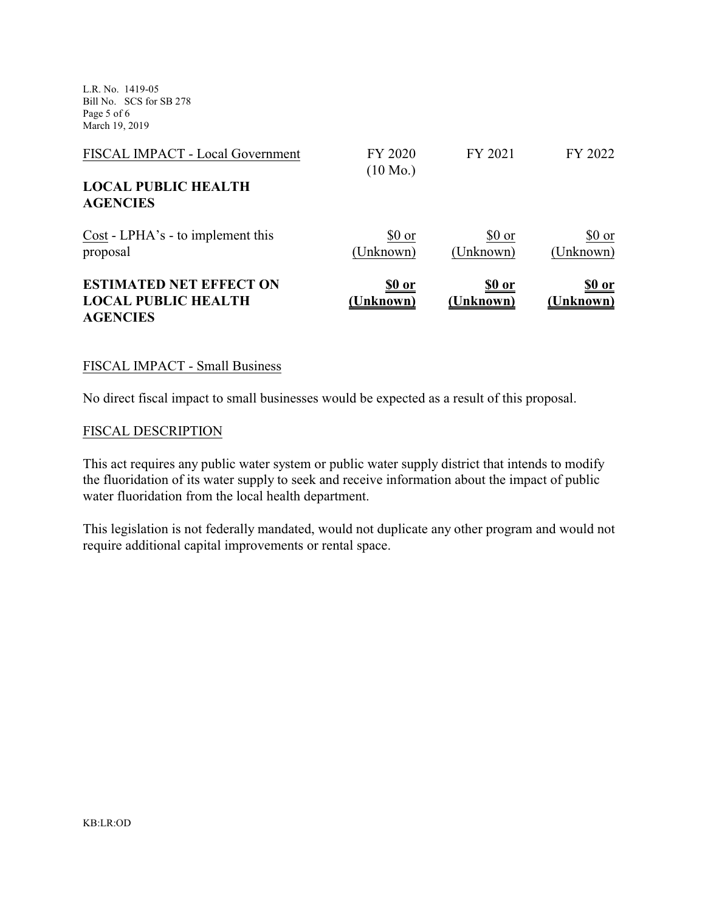L.R. No. 1419-05 Bill No. SCS for SB 278 Page 5 of 6 March 19, 2019

| FISCAL IMPACT - Local Government                                                | FY 2020<br>$(10 \text{ Mo.})$ | FY 2021                    | FY 2022                   |
|---------------------------------------------------------------------------------|-------------------------------|----------------------------|---------------------------|
| <b>LOCAL PUBLIC HEALTH</b><br><b>AGENCIES</b>                                   |                               |                            |                           |
| Cost - LPHA's - to implement this<br>proposal                                   | \$0 or<br>(Unknown)           | \$0 or<br>(Unknown)        | \$0 or<br>(Unknown)       |
| <b>ESTIMATED NET EFFECT ON</b><br><b>LOCAL PUBLIC HEALTH</b><br><b>AGENCIES</b> | <u>\$0 or</u><br>(Unknown)    | <u>\$0 or</u><br>(Unknown) | <u>so or</u><br>(Unknown) |

#### FISCAL IMPACT - Small Business

No direct fiscal impact to small businesses would be expected as a result of this proposal.

#### FISCAL DESCRIPTION

This act requires any public water system or public water supply district that intends to modify the fluoridation of its water supply to seek and receive information about the impact of public water fluoridation from the local health department.

This legislation is not federally mandated, would not duplicate any other program and would not require additional capital improvements or rental space.